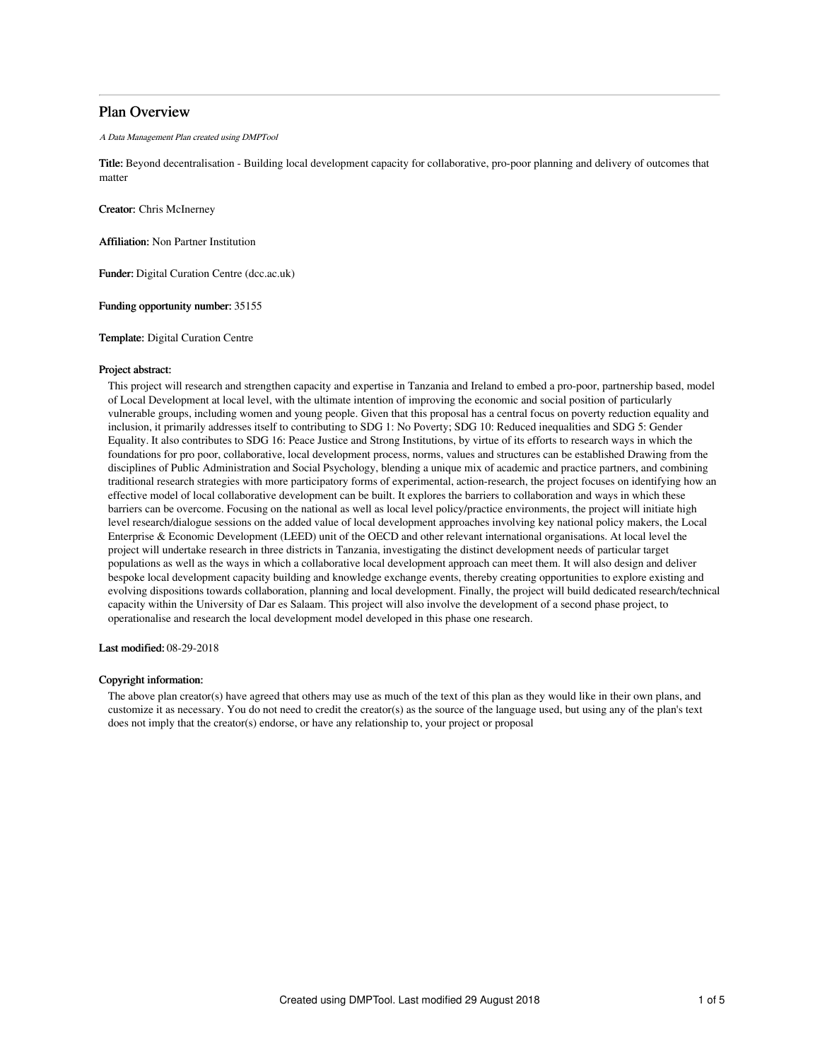# Plan Overview

A Data Management Plan created using DMPTool

Title: Beyond decentralisation - Building local development capacity for collaborative, pro-poor planning and delivery of outcomes that matter

Creator: Chris McInerney

Affiliation: Non Partner Institution

Funder: Digital Curation Centre (dcc.ac.uk)

Funding opportunity number: 35155

Template: Digital Curation Centre

#### Project abstract:

This project will research and strengthen capacity and expertise in Tanzania and Ireland to embed a pro-poor, partnership based, model of Local Development at local level, with the ultimate intention of improving the economic and social position of particularly vulnerable groups, including women and young people. Given that this proposal has a central focus on poverty reduction equality and inclusion, it primarily addresses itself to contributing to SDG 1: No Poverty; SDG 10: Reduced inequalities and SDG 5: Gender Equality. It also contributes to SDG 16: Peace Justice and Strong Institutions, by virtue of its efforts to research ways in which the foundations for pro poor, collaborative, local development process, norms, values and structures can be established Drawing from the disciplines of Public Administration and Social Psychology, blending a unique mix of academic and practice partners, and combining traditional research strategies with more participatory forms of experimental, action-research, the project focuses on identifying how an effective model of local collaborative development can be built. It explores the barriers to collaboration and ways in which these barriers can be overcome. Focusing on the national as well as local level policy/practice environments, the project will initiate high level research/dialogue sessions on the added value of local development approaches involving key national policy makers, the Local Enterprise & Economic Development (LEED) unit of the OECD and other relevant international organisations. At local level the project will undertake research in three districts in Tanzania, investigating the distinct development needs of particular target populations as well as the ways in which a collaborative local development approach can meet them. It will also design and deliver bespoke local development capacity building and knowledge exchange events, thereby creating opportunities to explore existing and evolving dispositions towards collaboration, planning and local development. Finally, the project will build dedicated research/technical capacity within the University of Dar es Salaam. This project will also involve the development of a second phase project, to operationalise and research the local development model developed in this phase one research.

Last modified: 08-29-2018

# Copyright information:

The above plan creator(s) have agreed that others may use as much of the text of this plan as they would like in their own plans, and customize it as necessary. You do not need to credit the creator(s) as the source of the language used, but using any of the plan's text does not imply that the creator(s) endorse, or have any relationship to, your project or proposal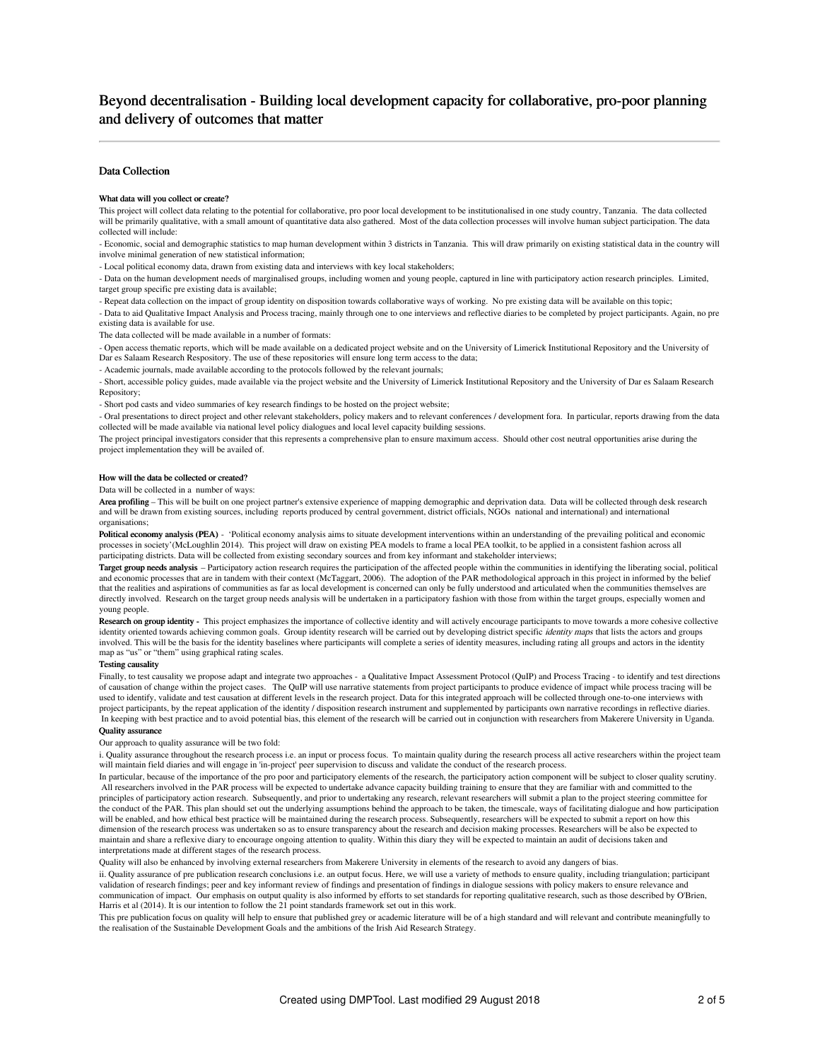# Beyond decentralisation - Building local development capacity for collaborative, pro-poor planning and delivery of outcomes that matter

# Data Collection

#### What data will you collect or create?

This project will collect data relating to the potential for collaborative, pro poor local development to be institutionalised in one study country, Tanzania. The data collected will be primarily qualitative, with a small amount of quantitative data also gathered. Most of the data collection processes will involve human subject participation. The data collected will include:

- Economic, social and demographic statistics to map human development within 3 districts in Tanzania. This will draw primarily on existing statistical data in the country will involve minimal generation of new statistical information;

- Local political economy data, drawn from existing data and interviews with key local stakeholders;

- Data on the human development needs of marginalised groups, including women and young people, captured in line with participatory action research principles. Limited, target group specific pre existing data is available;

- Repeat data collection on the impact of group identity on disposition towards collaborative ways of working. No pre existing data will be available on this topic;

- Data to aid Qualitative Impact Analysis and Process tracing, mainly through one to one interviews and reflective diaries to be completed by project participants. Again, no pre existing data is available for use.

The data collected will be made available in a number of formats:

- Open access thematic reports, which will be made available on a dedicated project website and on the University of Limerick Institutional Repository and the University of Dar es Salaam Research Respository. The use of these repositories will ensure long term access to the data;

- Academic journals, made available according to the protocols followed by the relevant journals;

- Short, accessible policy guides, made available via the project website and the University of Limerick Institutional Repository and the University of Dar es Salaam Research Repository;

- Short pod casts and video summaries of key research findings to be hosted on the project website;

- Oral presentations to direct project and other relevant stakeholders, policy makers and to relevant conferences / development fora. In particular, reports drawing from the data collected will be made available via national level policy dialogues and local level capacity building sessions.

The project principal investigators consider that this represents a comprehensive plan to ensure maximum access. Should other cost neutral opportunities arise during the project implementation they will be availed of.

# How will the data be collected or created?

Data will be collected in a number of ways:

Area profiling - This will be built on one project partner's extensive experience of mapping demographic and deprivation data. Data will be collected through desk research and will be drawn from existing sources, including reports produced by central government, district officials, NGOs national and international) and international organisations;

Political economy analysis (PEA) - 'Political economy analysis aims to situate development interventions within an understanding of the prevailing political and economic processes in society'(McLoughlin 2014). This project will draw on existing PEA models to frame a local PEA toolkit, to be applied in a consistent fashion across all participating districts. Data will be collected from existing secondary sources and from key informant and stakeholder interviews;

Target group needs analysis - Participatory action research requires the participation of the affected people within the communities in identifying the liberating social, political and economic processes that are in tandem with their context (McTaggart, 2006). The adoption of the PAR methodological approach in this project in informed by the belief that the realities and aspirations of communities as far as local development is concerned can only be fully understood and articulated when the communities themselves are directly involved. Research on the target group needs analysis will be undertaken in a participatory fashion with those from within the target groups, especially women and young people.

Research on group identity - This project emphasizes the importance of collective identity and will actively encourage participants to move towards a more cohesive collective identity oriented towards achieving common goals. Group identity research will be carried out by developing district specific *identity maps* that lists the actors and groups involved. This will be the basis for the identity baselines where participants will complete a series of identity measures, including rating all groups and actors in the identity map as "us" or "them" using graphical rating scales.

# Testing causality

Finally, to test causality we propose adapt and integrate two approaches - a Qualitative Impact Assessment Protocol (QuIP) and Process Tracing - to identify and test directions of causation of change within the project cases. The QuIP will use narrative statements from project participants to produce evidence of impact while process tracing will be used to identify, validate and test causation at different levels in the research project. Data for this integrated approach will be collected through one-to-one interviews with project participants, by the repeat application of the identity / disposition research instrument and supplemented by participants own narrative recordings in reflective diaries. In keeping with best practice and to avoid potential bias, this element of the research will be carried out in conjunction with researchers from Makerere University in Uganda. Quality assurance

Our approach to quality assurance will be two fold:

i. Quality assurance throughout the research process i.e. an input or process focus. To maintain quality during the research process all active researchers within the project team will maintain field diaries and will engage in 'in-project' peer supervision to discuss and validate the conduct of the research process.

In particular, because of the importance of the pro poor and participatory elements of the research, the participatory action component will be subject to closer quality scrutiny. All researchers involved in the PAR process will be expected to undertake advance capacity building training to ensure that they are familiar with and committed to the principles of participatory action research. Subsequently, and prior to undertaking any research, relevant researchers will submit a plan to the project steering committee for the conduct of the PAR. This plan should set out the underlying assumptions behind the approach to be taken, the timescale, ways of facilitating dialogue and how participation will be enabled, and how ethical best practice will be maintained during the research process. Subsequently, researchers will be expected to submit a report on how this dimension of the research process was undertaken so as to ensure transparency about the research and decision making processes. Researchers will be also be expected to maintain and share a reflexive diary to encourage ongoing attention to quality. Within this diary they will be expected to maintain an audit of decisions taken and interpretations made at different stages of the research process.

Quality will also be enhanced by involving external researchers from Makerere University in elements of the research to avoid any dangers of bias.

ii. Quality assurance of pre publication research conclusions i.e. an output focus. Here, we will use a variety of methods to ensure quality, including triangulation; participant validation of research findings; peer and key informant review of findings and presentation of findings in dialogue sessions with policy makers to ensure relevance and communication of impact. Our emphasis on output quality is also informed by efforts to set standards for reporting qualitative research, such as those described by O'Brien, Harris et al (2014). It is our intention to follow the 21 point standards framework set out in this work.

This pre publication focus on quality will help to ensure that published grey or academic literature will be of a high standard and will relevant and contribute meaningfully to the realisation of the Sustainable Development Goals and the ambitions of the Irish Aid Research Strategy.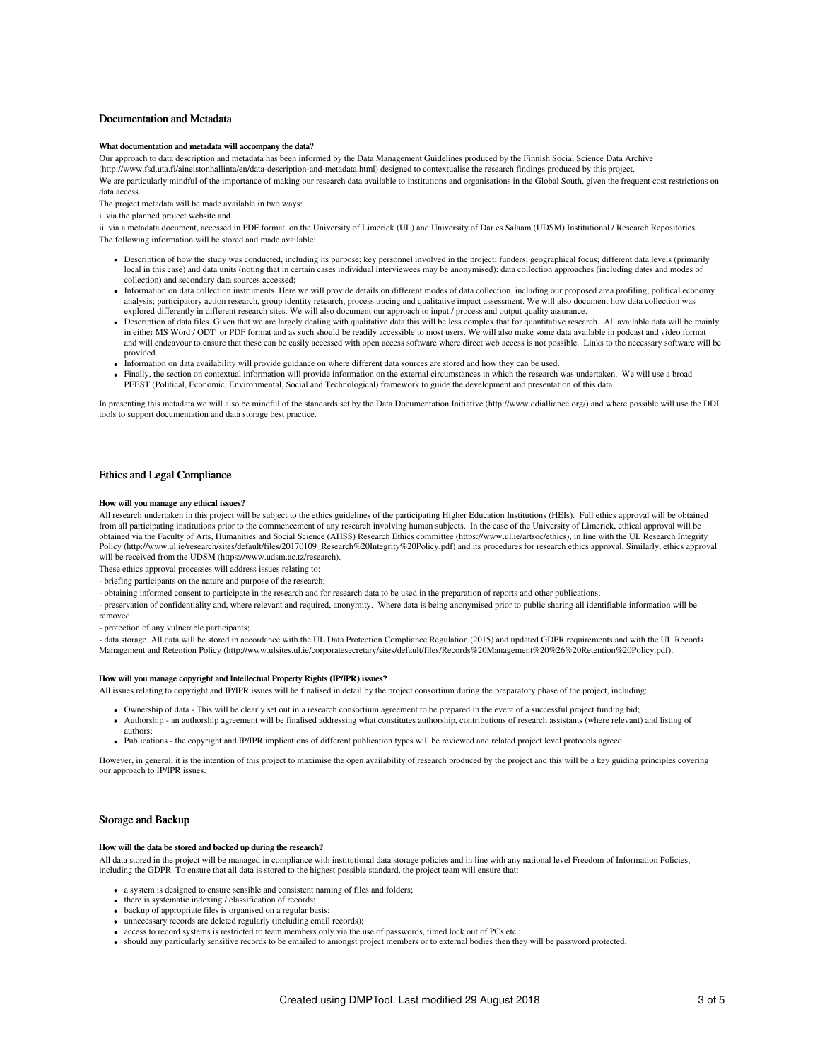## Documentation and Metadata

### What documentation and metadata will accompany the data?

Our approach to data description and metadata has been informed by the Data Management Guidelines produced by the Finnish Social Science Data Archive (http://www.fsd.uta.fi/aineistonhallinta/en/data-description-and-metadata.html) designed to contextualise the research findings produced by this project. We are particularly mindful of the importance of making our research data available to institutions and organisations in the Global South, given the frequent cost restrictions on data access.

The project metadata will be made available in two ways:

i. via the planned project website and

ii. via a metadata document, accessed in PDF format, on the University of Limerick (UL) and University of Dar es Salaam (UDSM) Institutional / Research Repositories. The following information will be stored and made available:

- Description of how the study was conducted, including its purpose; key personnel involved in the project; funders; geographical focus; different data levels (primarily local in this case) and data units (noting that in certain cases individual interviewees may be anonymised); data collection approaches (including dates and modes of collection) and secondary data sources accessed;
- Information on data collection instruments. Here we will provide details on different modes of data collection, including our proposed area profiling; political economy analysis; participatory action research, group identity research, process tracing and qualitative impact assessment. We will also document how data collection was explored differently in different research sites. We will also document our approach to input / process and output quality assurance.
- Description of data files. Given that we are largely dealing with qualitative data this will be less complex that for quantitative research. All available data will be mainly in either MS Word / ODT or PDF format and as such should be readily accessible to most users. We will also make some data available in podcast and video format and will endeavour to ensure that these can be easily accessed with open access software where direct web access is not possible. Links to the necessary software will be provided.
- Information on data availability will provide guidance on where different data sources are stored and how they can be used.
- Finally, the section on contextual information will provide information on the external circumstances in which the research was undertaken. We will use a broad PEEST (Political, Economic, Environmental, Social and Technological) framework to guide the development and presentation of this data.

In presenting this metadata we will also be mindful of the standards set by the Data Documentation Initiative (http://www.ddialliance.org/) and where possible will use the DDI tools to support documentation and data storage best practice.

### Ethics and Legal Compliance

#### How will you manage any ethical issues?

All research undertaken in this project will be subject to the ethics guidelines of the participating Higher Education Institutions (HEIs). Full ethics approval will be obtained from all participating institutions prior to the commencement of any research involving human subjects. In the case of the University of Limerick, ethical approval will be obtained via the Faculty of Arts, Humanities and Social Science (AHSS) Research Ethics committee (https://www.ul.ie/artsoc/ethics), in line with the UL Research Integrity Policy (http://www.ul.ie/research/sites/default/files/20170109\_Research%20Integrity%20Policy.pdf) and its procedures for research ethics approval. Similarly, ethics approval will be received from the UDSM (https://www.udsm.ac.tz/research).

These ethics approval processes will address issues relating to:

- briefing participants on the nature and purpose of the research;

- obtaining informed consent to participate in the research and for research data to be used in the preparation of reports and other publications;

- preservation of confidentiality and, where relevant and required, anonymity. Where data is being anonymised prior to public sharing all identifiable information will be removed.

- protection of any vulnerable participants;

- data storage. All data will be stored in accordance with the UL Data Protection Compliance Regulation (2015) and updated GDPR requirements and with the UL Records Management and Retention Policy (http://www.ulsites.ul.ie/corporatesecretary/sites/default/files/Records%20Management%20%26%20Retention%20Policy.pdf).

#### How will you manage copyright and Intellectual Property Rights (IP/IPR) issues?

All issues relating to copyright and IP/IPR issues will be finalised in detail by the project consortium during the preparatory phase of the project, including:

- Ownership of data This will be clearly set out in a research consortium agreement to be prepared in the event of a successful project funding bid;
- Authorship an authorship agreement will be finalised addressing what constitutes authorship, contributions of research assistants (where relevant) and listing of authors;
- Publications the copyright and IP/IPR implications of different publication types will be reviewed and related project level protocols agreed.

However, in general, it is the intention of this project to maximise the open availability of research produced by the project and this will be a key guiding principles covering our approach to IP/IPR issues.

#### Storage and Backup

#### How will the data be stored and backed up during the research?

All data stored in the project will be managed in compliance with institutional data storage policies and in line with any national level Freedom of Information Policies, including the GDPR. To ensure that all data is stored to the highest possible standard, the project team will ensure that:

- a system is designed to ensure sensible and consistent naming of files and folders;
- there is systematic indexing / classification of records;
- backup of appropriate files is organised on a regular basis;
- unnecessary records are deleted regularly (including email records);
- access to record systems is restricted to team members only via the use of passwords, timed lock out of PCs etc.;
- should any particularly sensitive records to be emailed to amongst project members or to external bodies then they will be password protected.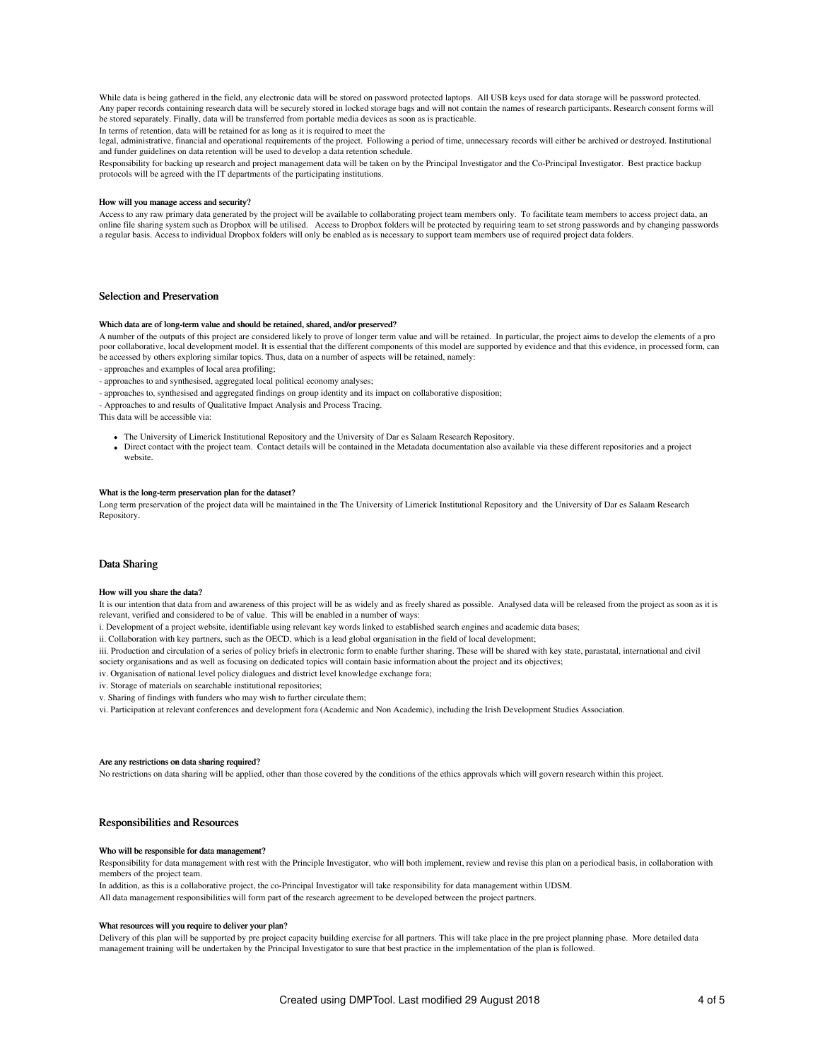While data is being gathered in the field, any electronic data will be stored on password protected laptops. All USB keys used for data storage will be password protected. Any paper records containing research data will be securely stored in locked storage bags and will not contain the names of research participants. Research consent forms will be stored separately. Finally, data will be transferred from portable media devices as soon as is practicable.

In terms of retention, data will be retained for as long as it is required to meet the

legal, administrative, financial and operational requirements of the project. Following a period of time, unnecessary records will either be archived or destroyed. Institutional and funder guidelines on data retention will be used to develop a data retention schedule.

Responsibility for backing up research and project management data will be taken on by the Principal Investigator and the Co-Principal Investigator. Best practice backup protocols will be agreed with the IT departments of the participating institutions.

#### How will you manage access and security?

Access to any raw primary data generated by the project will be available to collaborating project team members only. To facilitate team members to access project data, an online file sharing system such as Dropbox will be utilised. Access to Dropbox folders will be protected by requiring team to set strong passwords and by changing passwords a regular basis. Access to individual Dropbox folders will only be enabled as is necessary to support team members use of required project data folders.

# Selection and Preservation

#### Which data are of long-term value and should be retained, shared, and/or preserved?

A number of the outputs of this project are considered likely to prove of longer term value and will be retained. In particular, the project aims to develop the elements of a pro poor collaborative, local development model. It is essential that the different components of this model are supported by evidence and that this evidence, in processed form, can be accessed by others exploring similar topics. Thus, data on a number of aspects will be retained, namely:

- approaches and examples of local area profiling;

- approaches to and synthesised, aggregated local political economy analyses;

- approaches to, synthesised and aggregated findings on group identity and its impact on collaborative disposition;

- Approaches to and results of Qualitative Impact Analysis and Process Tracing.

This data will be accessible via:

- The University of Limerick Institutional Repository and the University of Dar es Salaam Research Repository.
- Direct contact with the project team. Contact details will be contained in the Metadata documentation also available via these different repositories and a project website.

# What is the long-term preservation plan for the dataset?

Long term preservation of the project data will be maintained in the The University of Limerick Institutional Repository and the University of Dar es Salaam Research Repository.

# Data Sharing

#### How will you share the data?

It is our intention that data from and awareness of this project will be as widely and as freely shared as possible. Analysed data will be released from the project as soon as it is relevant, verified and considered to be of value. This will be enabled in a number of ways:

i. Development of a project website, identifiable using relevant key words linked to established search engines and academic data bases;

ii. Collaboration with key partners, such as the OECD, which is a lead global organisation in the field of local development;

iii. Production and circulation of a series of policy briefs in electronic form to enable further sharing. These will be shared with key state, parastatal, international and civil

society organisations and as well as focusing on dedicated topics will contain basic information about the project and its objectives;

iv. Organisation of national level policy dialogues and district level knowledge exchange fora;

- iv. Storage of materials on searchable institutional repositories;
- v. Sharing of findings with funders who may wish to further circulate them;
- vi. Participation at relevant conferences and development fora (Academic and Non Academic), including the Irish Development Studies Association.

#### Are any restrictions on data sharing required?

No restrictions on data sharing will be applied, other than those covered by the conditions of the ethics approvals which will govern research within this project.

# Responsibilities and Resources

#### Who will be responsible for data management?

Responsibility for data management with rest with the Principle Investigator, who will both implement, review and revise this plan on a periodical basis, in collaboration with members of the project team.

In addition, as this is a collaborative project, the co-Principal Investigator will take responsibility for data management within UDSM.

All data management responsibilities will form part of the research agreement to be developed between the project partners.

#### What resources will you require to deliver your plan?

Delivery of this plan will be supported by pre project capacity building exercise for all partners. This will take place in the pre project planning phase. More detailed data management training will be undertaken by the Principal Investigator to sure that best practice in the implementation of the plan is followed.